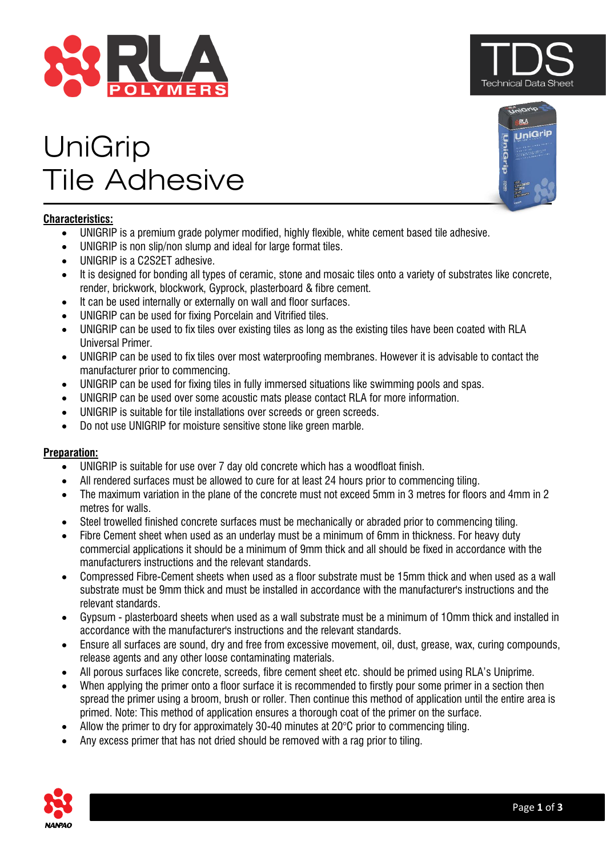

# UniGrip Tile Adhesive

# **Characteristics:**

- UNIGRIP is a premium grade polymer modified, highly flexible, white cement based tile adhesive.
- UNIGRIP is non slip/non slump and ideal for large format tiles.
- UNIGRIP is a C2S2ET adhesive.
- It is designed for bonding all types of ceramic, stone and mosaic tiles onto a variety of substrates like concrete, render, brickwork, blockwork, Gyprock, plasterboard & fibre cement.
- It can be used internally or externally on wall and floor surfaces.
- UNIGRIP can be used for fixing Porcelain and Vitrified tiles.
- UNIGRIP can be used to fix tiles over existing tiles as long as the existing tiles have been coated with RLA Universal Primer.
- UNIGRIP can be used to fix tiles over most waterproofing membranes. However it is advisable to contact the manufacturer prior to commencing.
- UNIGRIP can be used for fixing tiles in fully immersed situations like swimming pools and spas.
- UNIGRIP can be used over some acoustic mats please contact RLA for more information.
- UNIGRIP is suitable for tile installations over screeds or green screeds.
- Do not use UNIGRIP for moisture sensitive stone like green marble.

# **Preparation:**

- UNIGRIP is suitable for use over 7 day old concrete which has a woodfloat finish.
- All rendered surfaces must be allowed to cure for at least 24 hours prior to commencing tiling.
- The maximum variation in the plane of the concrete must not exceed 5mm in 3 metres for floors and 4mm in 2 metres for walls.
- Steel trowelled finished concrete surfaces must be mechanically or abraded prior to commencing tiling.
- Fibre Cement sheet when used as an underlay must be a minimum of 6mm in thickness. For heavy duty commercial applications it should be a minimum of 9mm thick and all should be fixed in accordance with the manufacturers instructions and the relevant standards.
- Compressed Fibre-Cement sheets when used as a floor substrate must be 15mm thick and when used as a wall substrate must be 9mm thick and must be installed in accordance with the manufacturer's instructions and the relevant standards.
- Gypsum plasterboard sheets when used as a wall substrate must be a minimum of 1Omm thick and installed in accordance with the manufacturer's instructions and the relevant standards.
- Ensure all surfaces are sound, dry and free from excessive movement, oil, dust, grease, wax, curing compounds, release agents and any other loose contaminating materials.
- All porous surfaces like concrete, screeds, fibre cement sheet etc. should be primed using RLA's Uniprime.
- When applying the primer onto a floor surface it is recommended to firstly pour some primer in a section then spread the primer using a broom, brush or roller. Then continue this method of application until the entire area is primed. Note: This method of application ensures a thorough coat of the primer on the surface.
- Allow the primer to dry for approximately 30-40 minutes at 20°C prior to commencing tiling.
- Any excess primer that has not dried should be removed with a rag prior to tiling.





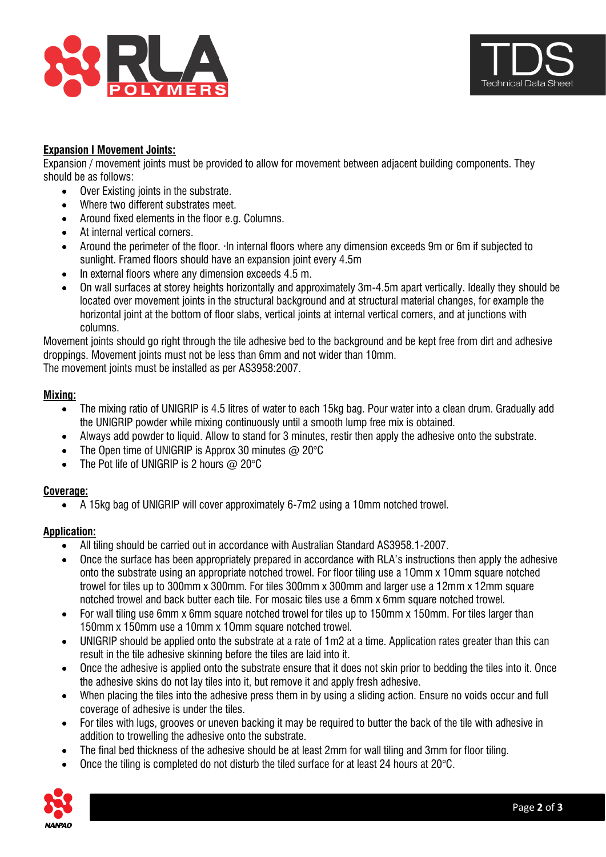



## **Expansion I Movement Joints:**

Expansion / movement joints must be provided to allow for movement between adjacent building components. They should be as follows:

- Over Existing joints in the substrate.
- Where two different substrates meet.
- Around fixed elements in the floor e.g. Columns.
- At internal vertical corners.
- Around the perimeter of the floor. ·In internal floors where any dimension exceeds 9m or 6m if subjected to sunlight. Framed floors should have an expansion joint every 4.5m
- In external floors where any dimension exceeds 4.5 m.
- On wall surfaces at storey heights horizontally and approximately 3m-4.5m apart vertically. Ideally they should be located over movement joints in the structural background and at structural material changes, for example the horizontal joint at the bottom of floor slabs, vertical joints at internal vertical corners, and at junctions with columns.

Movement joints should go right through the tile adhesive bed to the background and be kept free from dirt and adhesive droppings. Movement joints must not be less than 6mm and not wider than 10mm.

The movement joints must be installed as per AS3958:2007.

#### **Mixing:**

- The mixing ratio of UNIGRIP is 4.5 litres of water to each 15kg bag. Pour water into a clean drum. Gradually add the UNIGRIP powder while mixing continuously until a smooth lump free mix is obtained.
- Always add powder to liquid. Allow to stand for 3 minutes, restir then apply the adhesive onto the substrate.
- The Open time of UNIGRIP is Approx 30 minutes  $\omega$  20°C
- The Pot life of UNIGRIP is 2 hours  $@$  20 $°C$

#### **Coverage:**

• A 15kg bag of UNIGRIP will cover approximately 6-7m2 using a 10mm notched trowel.

#### **Application:**

- All tiling should be carried out in accordance with Australian Standard AS3958.1-2007.
- Once the surface has been appropriately prepared in accordance with RLA's instructions then apply the adhesive onto the substrate using an appropriate notched trowel. For floor tiling use a 1Omm x 1Omm square notched trowel for tiles up to 300mm x 300mm. For tiles 300mm x 300mm and larger use a 12mm x 12mm square notched trowel and back butter each tile. For mosaic tiles use a 6mm x 6mm square notched trowel.
- For wall tiling use 6mm x 6mm square notched trowel for tiles up to 150mm x 150mm. For tiles larger than 150mm x 150mm use a 10mm x 1Omm square notched trowel.
- UNIGRIP should be applied onto the substrate at a rate of 1m2 at a time. Application rates greater than this can result in the tile adhesive skinning before the tiles are laid into it.
- Once the adhesive is applied onto the substrate ensure that it does not skin prior to bedding the tiles into it. Once the adhesive skins do not lay tiles into it, but remove it and apply fresh adhesive.
- When placing the tiles into the adhesive press them in by using a sliding action. Ensure no voids occur and full coverage of adhesive is under the tiles.
- For tiles with lugs, grooves or uneven backing it may be required to butter the back of the tile with adhesive in addition to trowelling the adhesive onto the substrate.
- The final bed thickness of the adhesive should be at least 2mm for wall tiling and 3mm for floor tiling.
- Once the tiling is completed do not disturb the tiled surface for at least 24 hours at 20°C.